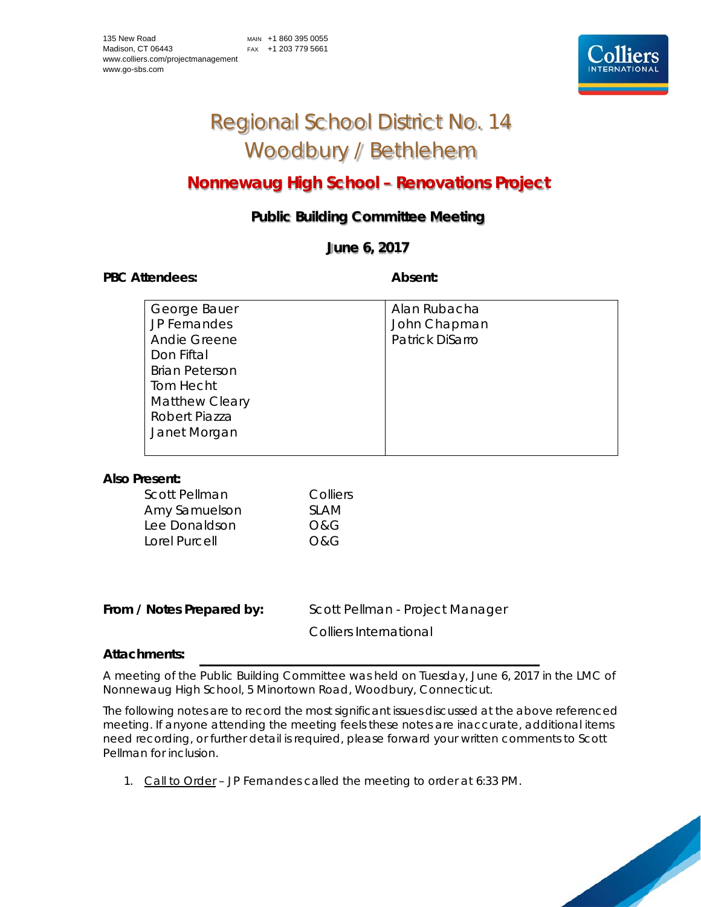

# Regional School District No. 14 Woodbury / Bethlehem

## **Nonnewaug High School – Renovations Project**

### **Public Building Committee Meeting**

#### **June 6, 2017**

#### PBC Attendees: **Absent: Absent: Absent: Absent:**

| George Bauer          | Alan Rubacha    |
|-----------------------|-----------------|
| JP Fernandes          | John Chapman    |
| Andie Greene          | Patrick DiSarro |
| Don Fiftal            |                 |
| <b>Brian Peterson</b> |                 |
| Tom Hecht             |                 |
| <b>Matthew Cleary</b> |                 |
| Robert Piazza         |                 |
| Janet Morgan          |                 |
|                       |                 |

#### **Also Present:**

| <b>SLAM</b> |
|-------------|
|             |
|             |
|             |

From / Notes Prepared by: Scott Pellman - Project Manager

Colliers International

#### **Attachments:**

A meeting of the Public Building Committee was held on Tuesday, June 6, 2017 in the LMC of Nonnewaug High School, 5 Minortown Road, Woodbury, Connecticut.

The following notes are to record the most significant issues discussed at the above referenced meeting. If anyone attending the meeting feels these notes are inaccurate, additional items need recording, or further detail is required, please forward your written comments to Scott Pellman for inclusion.

1. Call to Order – JP Fernandes called the meeting to order at 6:33 PM.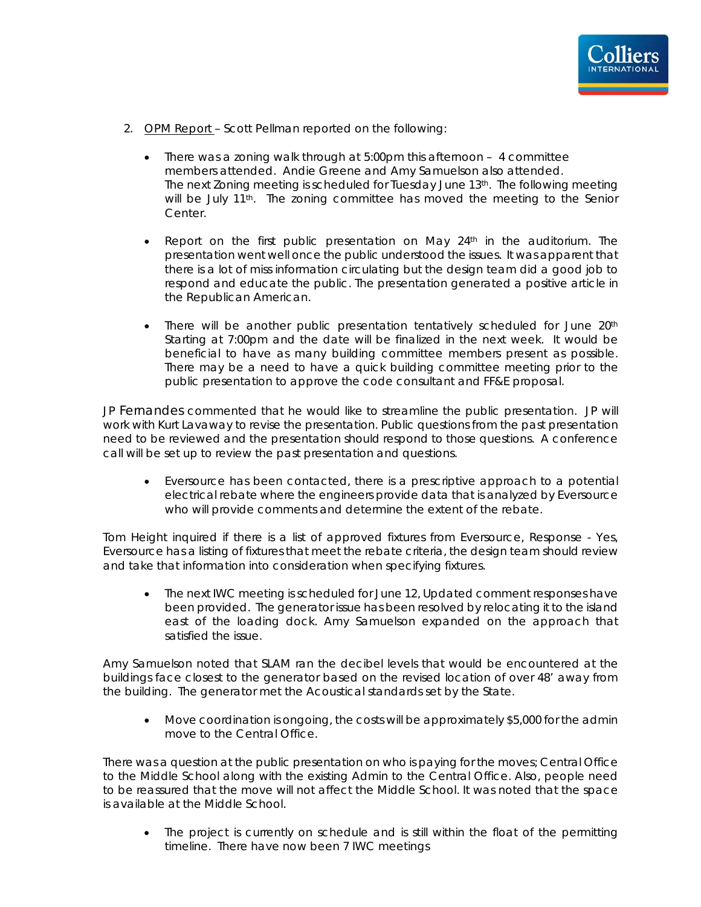- 2. OPM Report Scott Pellman reported on the following:
	- There was a zoning walk through at 5:00pm this afternoon 4 committee members attended. Andie Greene and Amy Samuelson also attended. The next Zoning meeting is scheduled for Tuesday June 13th. The following meeting will be July 11<sup>th</sup>. The zoning committee has moved the meeting to the Senior Center.
	- Report on the first public presentation on May  $24<sup>th</sup>$  in the auditorium. The presentation went well once the public understood the issues. It was apparent that there is a lot of miss information circulating but the design team did a good job to respond and educate the public. The presentation generated a positive article in the Republican American.
	- There will be another public presentation tentatively scheduled for June 20<sup>th</sup> Starting at 7:00pm and the date will be finalized in the next week. It would be beneficial to have as many building committee members present as possible. There may be a need to have a quick building committee meeting prior to the public presentation to approve the code consultant and FF&E proposal.

JP Fernandes commented that he would like to streamline the public presentation. JP will work with Kurt Lavaway to revise the presentation. Public questions from the past presentation need to be reviewed and the presentation should respond to those questions. A conference call will be set up to review the past presentation and questions.

• Eversource has been contacted, there is a prescriptive approach to a potential electrical rebate where the engineers provide data that is analyzed by Eversource who will provide comments and determine the extent of the rebate.

Tom Height inquired if there is a list of approved fixtures from Eversource, Response - Yes, Eversource has a listing of fixtures that meet the rebate criteria, the design team should review and take that information into consideration when specifying fixtures.

• The next IWC meeting is scheduled for June 12, Updated comment responses have been provided. The generator issue has been resolved by relocating it to the island east of the loading dock. Amy Samuelson expanded on the approach that satisfied the issue.

Amy Samuelson noted that SLAM ran the decibel levels that would be encountered at the buildings face closest to the generator based on the revised location of over 48' away from the building. The generator met the Acoustical standards set by the State.

• Move coordination is ongoing, the costs will be approximately \$5,000 for the admin move to the Central Office.

There was a question at the public presentation on who is paying for the moves; Central Office to the Middle School along with the existing Admin to the Central Office. Also, people need to be reassured that the move will not affect the Middle School. It was noted that the space is available at the Middle School.

The project is currently on schedule and is still within the float of the permitting timeline. There have now been 7 IWC meetings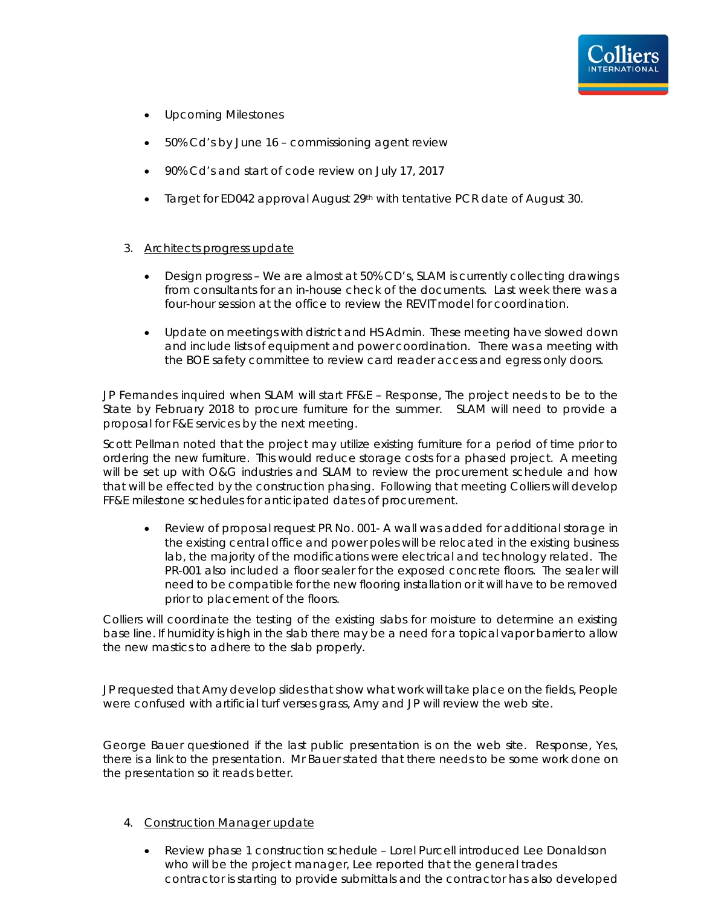- Upcoming Milestones
- 50% Cd's by June 16 commissioning agent review
- 90% Cd's and start of code review on July 17, 2017
- Target for ED042 approval August  $29<sup>th</sup>$  with tentative PCR date of August 30.

#### 3. Architects progress update

- Design progress We are almost at 50% CD's, SLAM is currently collecting drawings from consultants for an in-house check of the documents. Last week there was a four-hour session at the office to review the REVIT model for coordination.
- Update on meetings with district and HS Admin. These meeting have slowed down and include lists of equipment and power coordination. There was a meeting with the BOE safety committee to review card reader access and egress only doors.

JP Fernandes inquired when SLAM will start FF&E – Response, The project needs to be to the State by February 2018 to procure furniture for the summer. SLAM will need to provide a proposal for F&E services by the next meeting.

Scott Pellman noted that the project may utilize existing furniture for a period of time prior to ordering the new furniture. This would reduce storage costs for a phased project. A meeting will be set up with O&G industries and SLAM to review the procurement schedule and how that will be effected by the construction phasing. Following that meeting Colliers will develop FF&E milestone schedules for anticipated dates of procurement.

• Review of proposal request PR No. 001- A wall was added for additional storage in the existing central office and power poles will be relocated in the existing business lab, the majority of the modifications were electrical and technology related. The PR-001 also included a floor sealer for the exposed concrete floors. The sealer will need to be compatible for the new flooring installation or it will have to be removed prior to placement of the floors.

Colliers will coordinate the testing of the existing slabs for moisture to determine an existing base line. If humidity is high in the slab there may be a need for a topical vapor barrier to allow the new mastics to adhere to the slab properly.

JP requested that Amy develop slides that show what work will take place on the fields, People were confused with artificial turf verses grass, Amy and JP will review the web site.

George Bauer questioned if the last public presentation is on the web site. Response, Yes, there is a link to the presentation. Mr Bauer stated that there needs to be some work done on the presentation so it reads better.

#### 4. Construction Manager update

• Review phase 1 construction schedule – Lorel Purcell introduced Lee Donaldson who will be the project manager, Lee reported that the general trades contractor is starting to provide submittals and the contractor has also developed